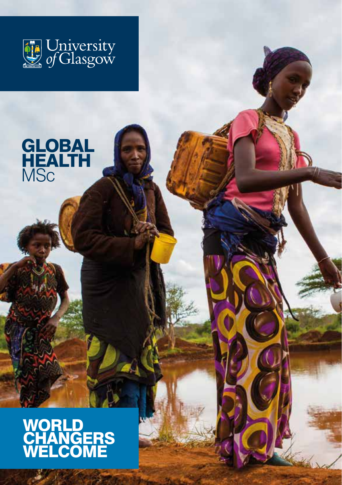

# **GLOBAL** HEALTH **MSc**

# **WORLD CHANGERS** WELCOME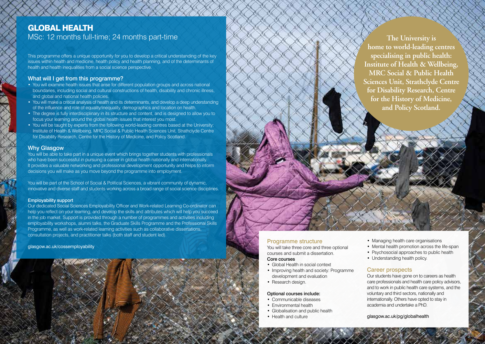## GLOBAL HEALTH

MSc: 12 months full-time; 24 months part-time

This programme offers a unique opportunity for you to develop a critical understanding of the key issues within health and medicine, health policy and health planning, and of the determinants of health and health inequalities from a social science perspective.

#### What will I get from this programme?

- You will examine health issues that arise for different population groups and across national boundaries, including social and cultural constructions of health, disability and chronic illness, and global and national health policies.
- You will make a critical analysis of health and its determinants, and develop a deep understanding of the influence and role of equality/inequality, demographics and location on health.
- The degree is fully interdisciplinary in its structure and content, and is designed to allow you to focus your learning around the global health issues that interest you most.
- You will be taught by experts from the following world-leading centres based at the University: Institute of Health & Wellbeing, MRC Social & Public Health Sciences Unit, Strathclyde Centre for Disability Research, Centre for the History of Medicine, and Policy Scotland.

#### Why Glasgow

You will be able to take part in a unique event which brings together students with professionals who have been successful in pursuing a career in global health nationally and internationally. It provides a valuable networking and professional development opportunity and helps to inform decisions you will make as you move beyond the programme into employment.

You will be part of the School of Social & Political Sciences, a vibrant community of dynamic, innovative and diverse staff and students working across a broad range of social science disciplines.

#### Employability support

Our dedicated Social Sciences Employability Officer and Work-related Learning Co-ordinator can help you reflect on your learning, and develop the skills and attributes which will help you succeed in the job market. Support is provided through a number of programmes and activities including employability workshops, alumni talks, the Graduate Skills Programme and the Professional Skills Programme, as well as work-related learning activities such as collaborative dissertations, consultation projects, and practitioner talks (both staff and student led).

[glasgow.ac.uk/cossemployability](https://www.gla.ac.uk/colleges/socialsciences/students/employability/)

#### Programme structure

You will take three core and three optional courses and submit a dissertation.

### Core courses

- Global Health in social context
- Improving health and society: Programme development and evaluation
- Research design.

#### Optional courses include:

- Communicable diseases
- Environmental health
- Globalisation and public health
- Health and culture
- Managing health care organisations
- Mental health promotion across the life-span
- Psychosocial approaches to public health
- Understanding health policy.

### Career prospects

Our students have gone on to careers as health care professionals and health care policy advisors, and to work in public health care systems, and the voluntary and third sectors, nationally and internationally. Others have opted to stay in academia and undertake a PhD.

[glasgow.ac.uk/pg/globalhealth](https://www.gla.ac.uk/postgraduate/taught/globalhealth/)

**The University is home to world-leading centres specialising in public health: Institute of Health & Wellbeing, MRC Social & Public Health Sciences Unit, Strathclyde Centre for Disability Research, Centre for the History of Medicine, and Policy Scotland.**